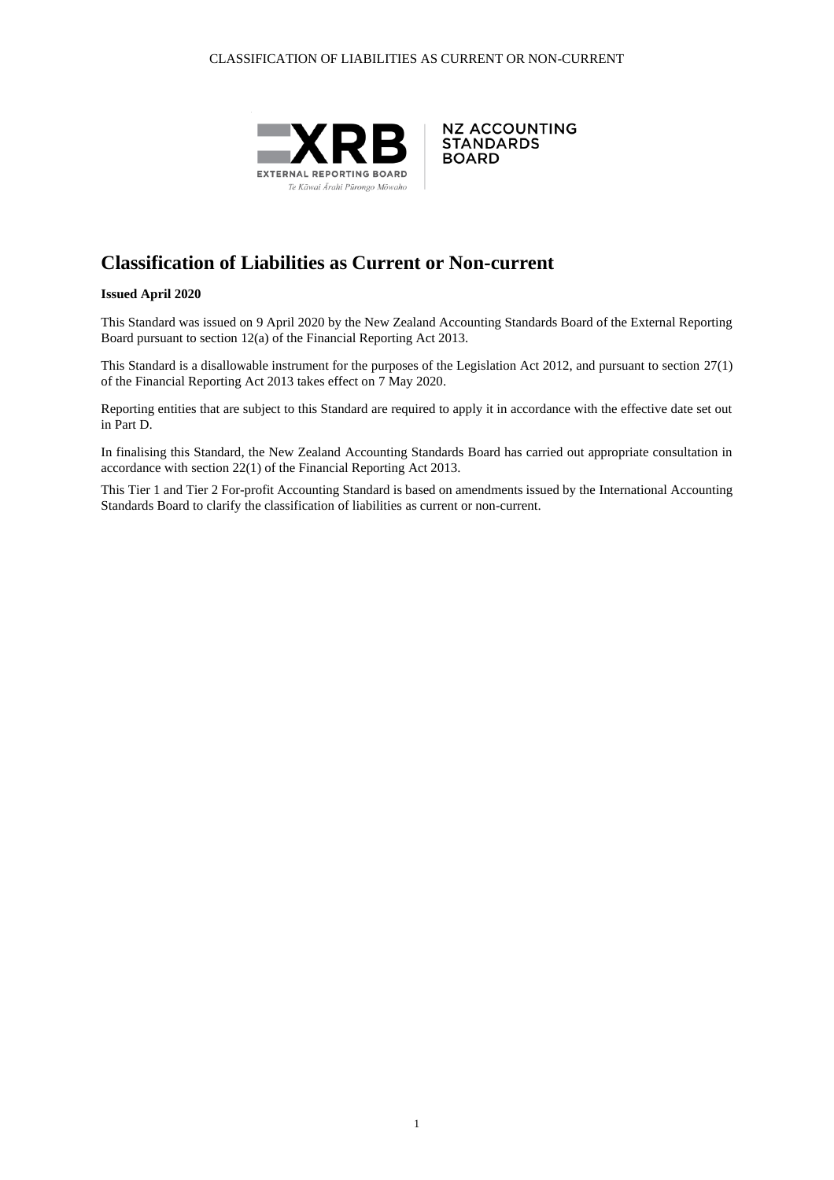



# **Classification of Liabilities as Current or Non-current**

#### **Issued April 2020**

This Standard was issued on 9 April 2020 by the New Zealand Accounting Standards Board of the External Reporting Board pursuant to section 12(a) of the Financial Reporting Act 2013.

This Standard is a disallowable instrument for the purposes of the Legislation Act 2012, and pursuant to section 27(1) of the Financial Reporting Act 2013 takes effect on 7 May 2020.

Reporting entities that are subject to this Standard are required to apply it in accordance with the effective date set out in Part D.

In finalising this Standard, the New Zealand Accounting Standards Board has carried out appropriate consultation in accordance with section 22(1) of the Financial Reporting Act 2013.

This Tier 1 and Tier 2 For-profit Accounting Standard is based on amendments issued by the International Accounting Standards Board to clarify the classification of liabilities as current or non-current.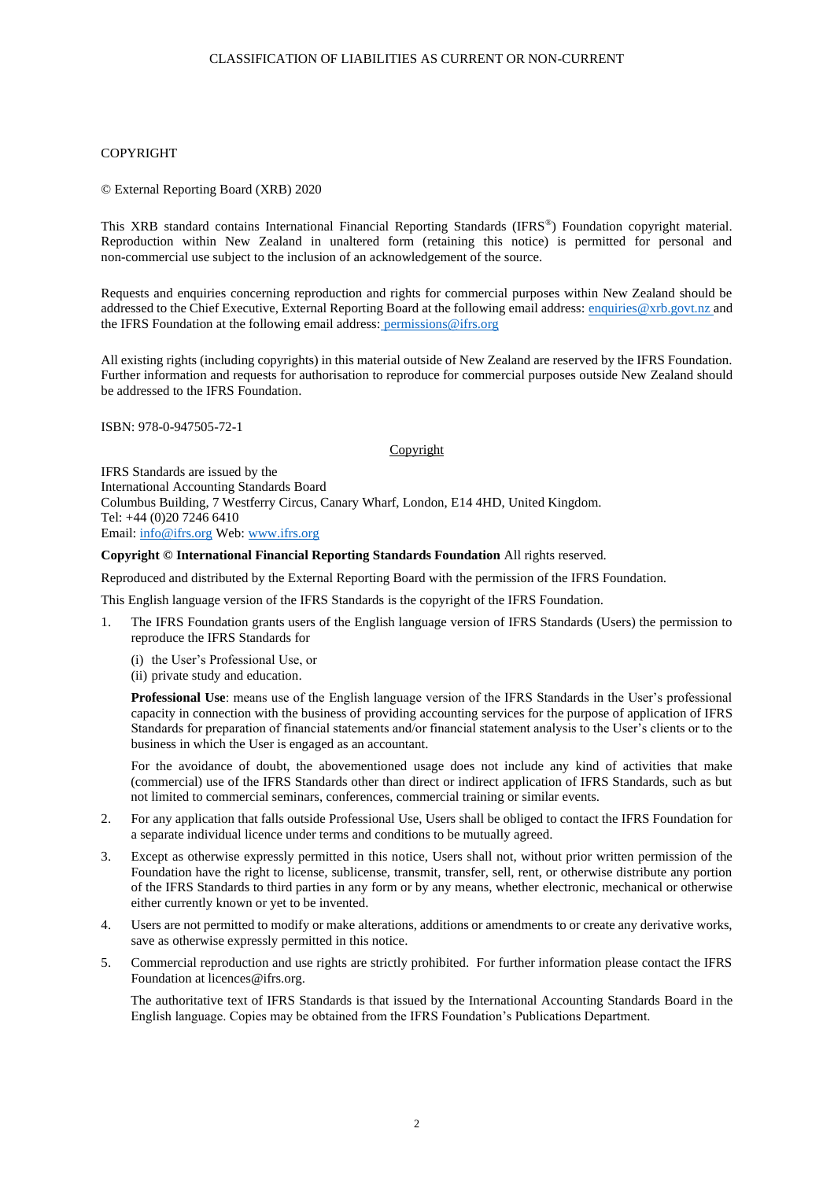#### CLASSIFICATION OF LIABILITIES AS CURRENT OR NON-CURRENT

#### COPYRIGHT

© External Reporting Board (XRB) 2020

This XRB standard contains International Financial Reporting Standards (IFRS®) Foundation copyright material. Reproduction within New Zealand in unaltered form (retaining this notice) is permitted for personal and non-commercial use subject to the inclusion of an acknowledgement of the source.

Requests and enquiries concerning reproduction and rights for commercial purposes within New Zealand should be addressed to the Chief Executive, External Reporting Board at the following email address: [enquiries@xrb.govt.nz](mailto:enquiries@xrb.govt.nz) and the IFRS Foundation at the following email address: permissions@ifrs.org

All existing rights (including copyrights) in this material outside of New Zealand are reserved by the IFRS Foundation. Further information and requests for authorisation to reproduce for commercial purposes outside New Zealand should be addressed to the IFRS Foundation.

ISBN: 978-0-947505-72-1

#### Copyright

IFRS Standards are issued by the International Accounting Standards Board Columbus Building, 7 Westferry Circus, Canary Wharf, London, E14 4HD, United Kingdom. Tel: +44 (0)20 7246 6410 Email[: info@ifrs.org](mailto:info@ifrs.org) Web: [www.ifrs.org](http://www.ifrs.org/)

**Copyright © International Financial Reporting Standards Foundation** All rights reserved.

Reproduced and distributed by the External Reporting Board with the permission of the IFRS Foundation.

This English language version of the IFRS Standards is the copyright of the IFRS Foundation.

- 1. The IFRS Foundation grants users of the English language version of IFRS Standards (Users) the permission to reproduce the IFRS Standards for
	- (i) the User's Professional Use, or
	- (ii) private study and education.

**Professional Use**: means use of the English language version of the IFRS Standards in the User's professional capacity in connection with the business of providing accounting services for the purpose of application of IFRS Standards for preparation of financial statements and/or financial statement analysis to the User's clients or to the business in which the User is engaged as an accountant.

For the avoidance of doubt, the abovementioned usage does not include any kind of activities that make (commercial) use of the IFRS Standards other than direct or indirect application of IFRS Standards, such as but not limited to commercial seminars, conferences, commercial training or similar events.

- 2. For any application that falls outside Professional Use, Users shall be obliged to contact the IFRS Foundation for a separate individual licence under terms and conditions to be mutually agreed.
- 3. Except as otherwise expressly permitted in this notice, Users shall not, without prior written permission of the Foundation have the right to license, sublicense, transmit, transfer, sell, rent, or otherwise distribute any portion of the IFRS Standards to third parties in any form or by any means, whether electronic, mechanical or otherwise either currently known or yet to be invented.
- 4. Users are not permitted to modify or make alterations, additions or amendments to or create any derivative works, save as otherwise expressly permitted in this notice.
- 5. Commercial reproduction and use rights are strictly prohibited. For further information please contact the IFRS Foundation at licences@ifrs.org.

The authoritative text of IFRS Standards is that issued by the International Accounting Standards Board in the English language. Copies may be obtained from the IFRS Foundation's Publications Department.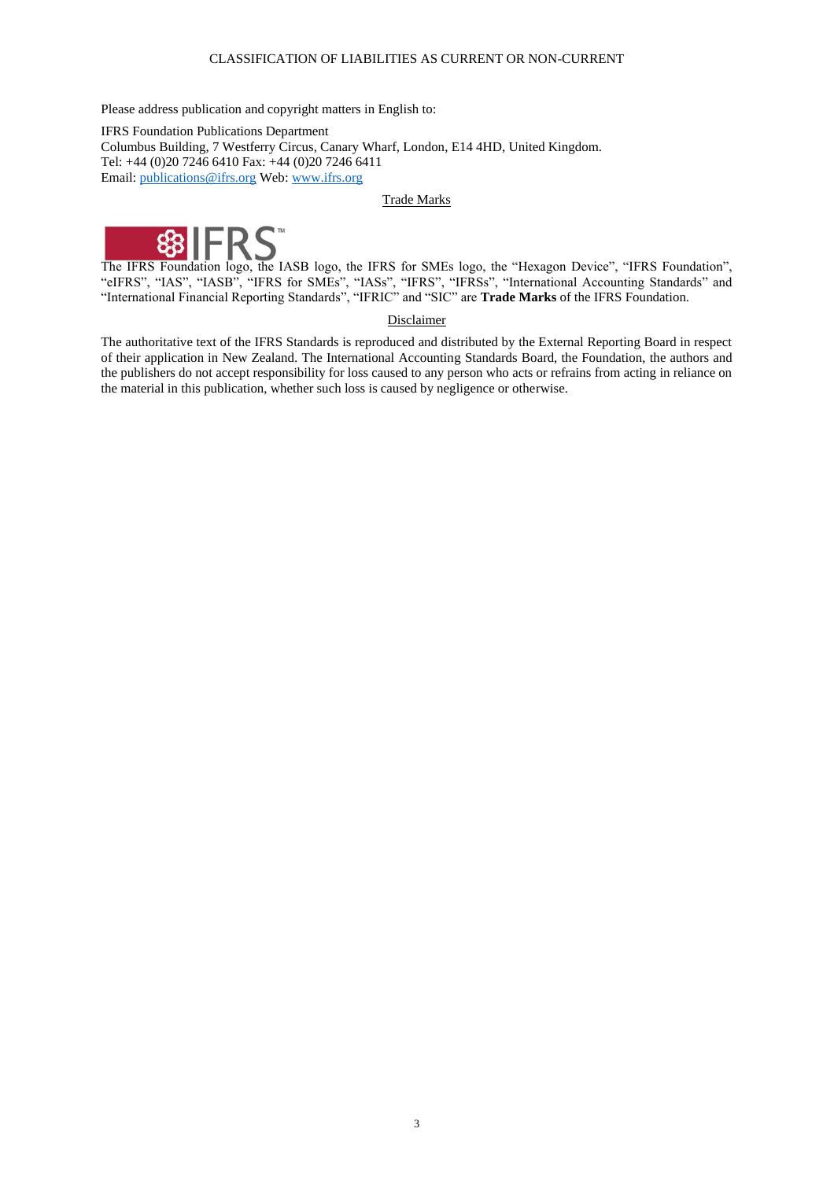### CLASSIFICATION OF LIABILITIES AS CURRENT OR NON-CURRENT

Please address publication and copyright matters in English to:

IFRS Foundation Publications Department Columbus Building, 7 Westferry Circus, Canary Wharf, London, E14 4HD, United Kingdom. Tel: +44 (0)20 7246 6410 Fax: +44 (0)20 7246 6411 Email[: publications@ifrs.org](mailto:publications@ifrs.org) Web: [www.ifrs.org](http://www.ifrs.org/)

#### Trade Marks



The IFRS Foundation logo, the IASB logo, the IFRS for SMEs logo, the "Hexagon Device", "IFRS Foundation", "eIFRS", "IAS", "IASB", "IFRS for SMEs", "IASs", "IFRS", "IFRSs", "International Accounting Standards" and "International Financial Reporting Standards", "IFRIC" and "SIC" are **Trade Marks** of the IFRS Foundation.

### Disclaimer

The authoritative text of the IFRS Standards is reproduced and distributed by the External Reporting Board in respect of their application in New Zealand. The International Accounting Standards Board, the Foundation, the authors and the publishers do not accept responsibility for loss caused to any person who acts or refrains from acting in reliance on the material in this publication, whether such loss is caused by negligence or otherwise.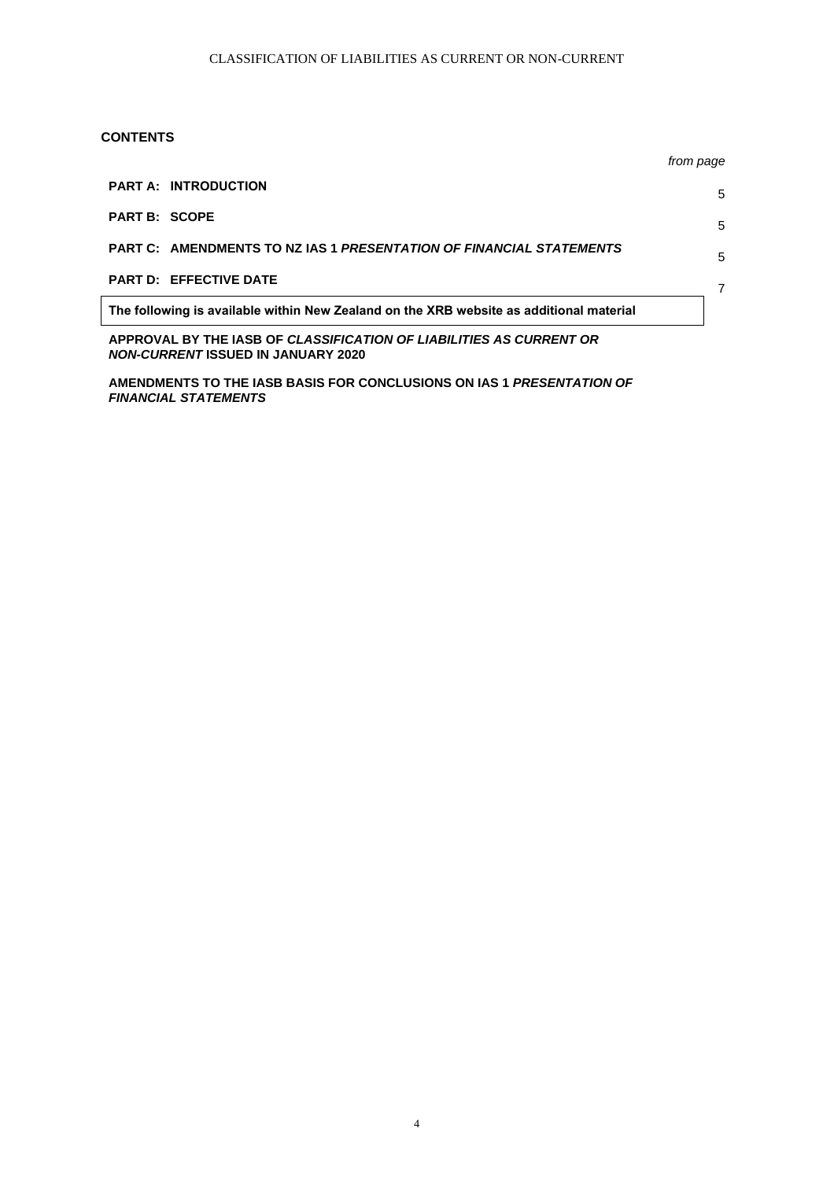### **CONTENTS**

|                                                                                         | from page |
|-----------------------------------------------------------------------------------------|-----------|
| <b>PART A: INTRODUCTION</b>                                                             | 5         |
| <b>PART B: SCOPE</b>                                                                    | 5         |
| PART C: AMENDMENTS TO NZ IAS 1 PRESENTATION OF FINANCIAL STATEMENTS                     | 5         |
| <b>PART D: EFFECTIVE DATE</b>                                                           | 7         |
| The following is available within New Zealand on the XRB website as additional material |           |

**APPROVAL BY THE IASB OF** *CLASSIFICATION OF LIABILITIES AS CURRENT OR NON-CURRENT* **ISSUED IN JANUARY 2020**

**AMENDMENTS TO THE IASB BASIS FOR CONCLUSIONS ON IAS 1** *PRESENTATION OF FINANCIAL STATEMENTS*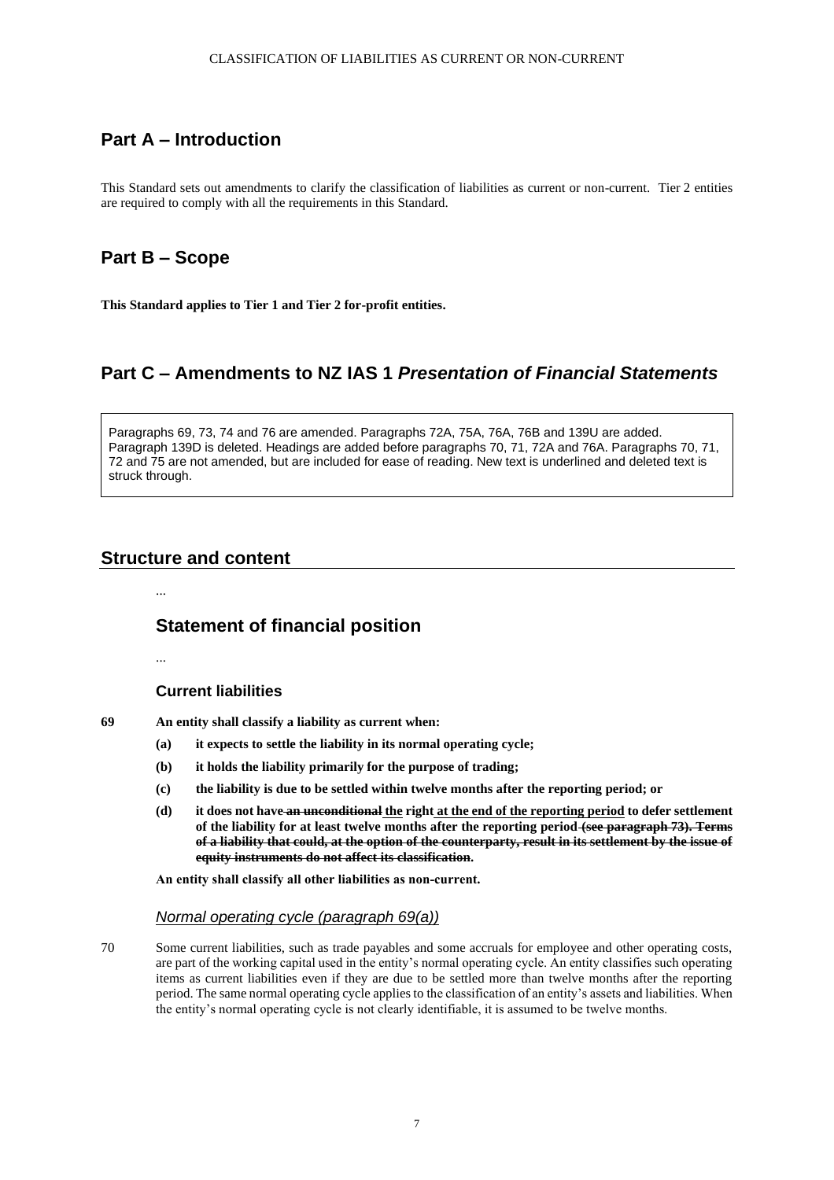## **Part A – Introduction**

This Standard sets out amendments to clarify the classification of liabilities as current or non-current. Tier 2 entities are required to comply with all the requirements in this Standard.

## **Part B – Scope**

**This Standard applies to Tier 1 and Tier 2 for-profit entities.**

## **Part C – Amendments to NZ IAS 1** *Presentation of Financial Statements*

Paragraphs 69, 73, 74 and 76 are amended. Paragraphs 72A, 75A, 76A, 76B and 139U are added. Paragraph 139D is deleted. Headings are added before paragraphs 70, 71, 72A and 76A. Paragraphs 70, 71, 72 and 75 are not amended, but are included for ease of reading. New text is underlined and deleted text is struck through.

## **Structure and content**

**Statement of financial position**

# ...

...

### **Current liabilities**

**69 An entity shall classify a liability as current when:**

- **(a) it expects to settle the liability in its normal operating cycle;**
- **(b) it holds the liability primarily for the purpose of trading;**
- **(c) the liability is due to be settled within twelve months after the reporting period; or**
- **(d) it does not have an unconditional the right at the end of the reporting period to defer settlement of the liability for at least twelve months after the reporting period (see paragraph 73). Terms of a liability that could, at the option of the counterparty, result in its settlement by the issue of equity instruments do not affect its classification.**

**An entity shall classify all other liabilities as non‑current.**

### *Normal operating cycle (paragraph 69(a))*

70 Some current liabilities, such as trade payables and some accruals for employee and other operating costs, are part of the working capital used in the entity's normal operating cycle. An entity classifies such operating items as current liabilities even if they are due to be settled more than twelve months after the reporting period. The same normal operating cycle applies to the classification of an entity's assets and liabilities. When the entity's normal operating cycle is not clearly identifiable, it is assumed to be twelve months.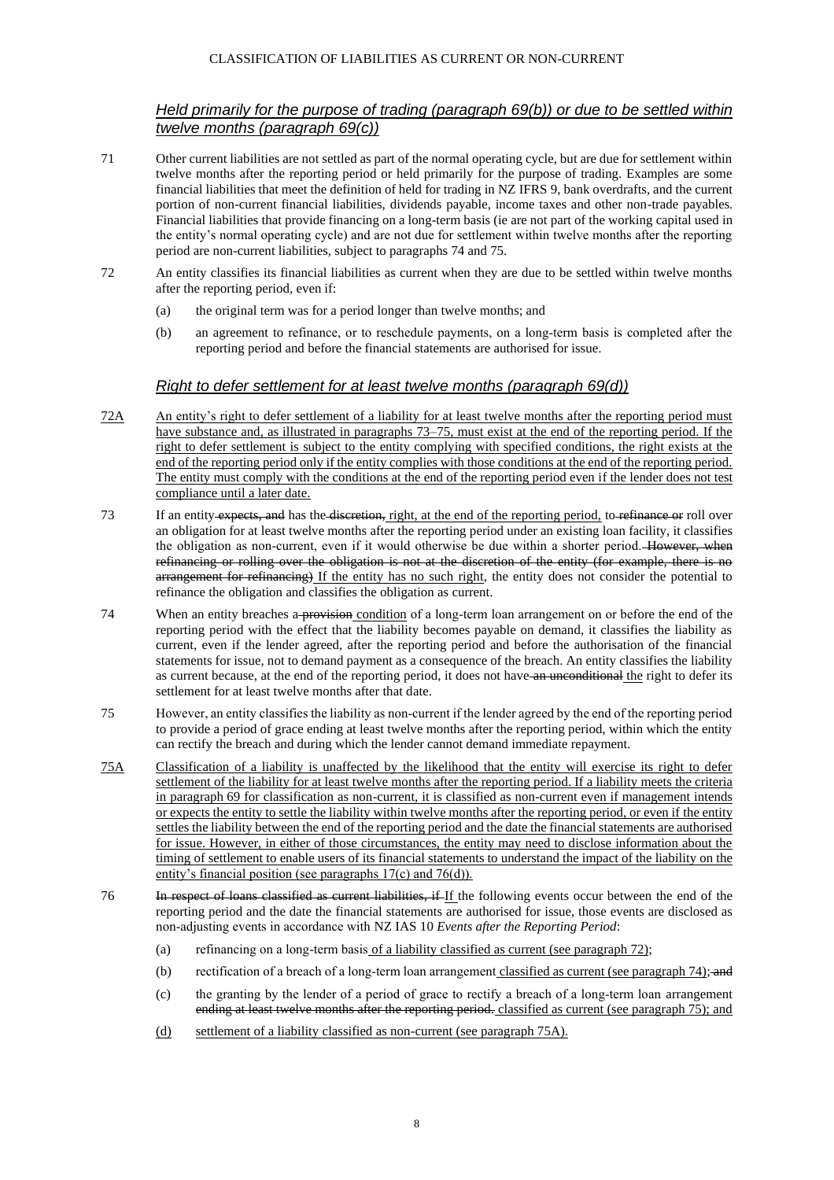### CLASSIFICATION OF LIABILITIES AS CURRENT OR NON-CURRENT

## *Held primarily for the purpose of trading (paragraph 69(b)) or due to be settled within twelve months (paragraph 69(c))*

- 71 Other current liabilities are not settled as part of the normal operating cycle, but are due for settlement within twelve months after the reporting period or held primarily for the purpose of trading. Examples are some financial liabilities that meet the definition of held for trading in NZ IFRS 9, bank overdrafts, and the current portion of non-current financial liabilities, dividends payable, income taxes and other non-trade payables. Financial liabilities that provide financing on a long-term basis (ie are not part of the working capital used in the entity's normal operating cycle) and are not due for settlement within twelve months after the reporting period are non-current liabilities, subject to paragraphs 74 and 75.
- 72 An entity classifies its financial liabilities as current when they are due to be settled within twelve months after the reporting period, even if:
	- (a) the original term was for a period longer than twelve months; and
	- (b) an agreement to refinance, or to reschedule payments, on a long-term basis is completed after the reporting period and before the financial statements are authorised for issue.

## *Right to defer settlement for at least twelve months (paragraph 69(d))*

- 72A An entity's right to defer settlement of a liability for at least twelve months after the reporting period must have substance and, as illustrated in paragraphs 73–75, must exist at the end of the reporting period. If the right to defer settlement is subject to the entity complying with specified conditions, the right exists at the end of the reporting period only if the entity complies with those conditions at the end of the reporting period. The entity must comply with the conditions at the end of the reporting period even if the lender does not test compliance until a later date.
- 73 If an entity expects, and has the discretion, right, at the end of the reporting period, to refinance or roll over an obligation for at least twelve months after the reporting period under an existing loan facility, it classifies the obligation as non-current, even if it would otherwise be due within a shorter period. However, when refinancing or rolling over the obligation is not at the discretion of the entity (for example, there is no arrangement for refinancing) If the entity has no such right, the entity does not consider the potential to refinance the obligation and classifies the obligation as current.
- 74 When an entity breaches a **provision** condition of a long-term loan arrangement on or before the end of the reporting period with the effect that the liability becomes payable on demand, it classifies the liability as current, even if the lender agreed, after the reporting period and before the authorisation of the financial statements for issue, not to demand payment as a consequence of the breach. An entity classifies the liability as current because, at the end of the reporting period, it does not have an unconditional the right to defer its settlement for at least twelve months after that date.
- 75 However, an entity classifies the liability as non‑current if the lender agreed by the end of the reporting period to provide a period of grace ending at least twelve months after the reporting period, within which the entity can rectify the breach and during which the lender cannot demand immediate repayment.
- 75A Classification of a liability is unaffected by the likelihood that the entity will exercise its right to defer settlement of the liability for at least twelve months after the reporting period. If a liability meets the criteria in paragraph 69 for classification as non-current, it is classified as non-current even if management intends or expects the entity to settle the liability within twelve months after the reporting period, or even if the entity settles the liability between the end of the reporting period and the date the financial statements are authorised for issue. However, in either of those circumstances, the entity may need to disclose information about the timing of settlement to enable users of its financial statements to understand the impact of the liability on the entity's financial position (see paragraphs 17(c) and 76(d)).
- 76 In respect of loans classified as current liabilities, if If the following events occur between the end of the reporting period and the date the financial statements are authorised for issue, those events are disclosed as non‑adjusting events in accordance with NZ IAS 10 *Events after the Reporting Period*:
	- (a) refinancing on a long-term basis of a liability classified as current (see paragraph 72);
	- (b) rectification of a breach of a long-term loan arrangement classified as current (see paragraph 74); and
	- (c) the granting by the lender of a period of grace to rectify a breach of a long‑term loan arrangement ending at least twelve months after the reporting period. classified as current (see paragraph 75); and
	- (d) settlement of a liability classified as non-current (see paragraph 75A).